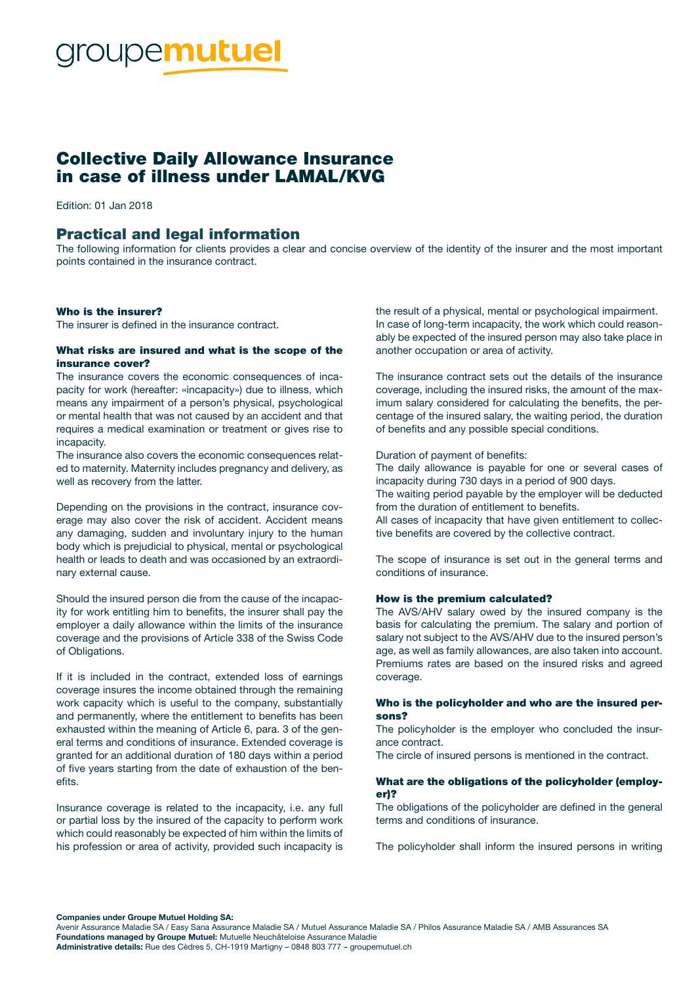# **roupemutuel**

# Collective Daily Allowance Insurance in case of illness under LAMAL/KVG

Edition: 01 Jan 2018

## Practical and legal information

The following information for clients provides a clear and concise overview of the identity of the insurer and the most important points contained in the insurance contract.

#### Who is the insurer?

The insurer is defined in the insurance contract.

#### What risks are insured and what is the scope of the insurance cover?

The insurance covers the economic consequences of incapacity for work (hereafter: «incapacity») due to illness, which means any impairment of a person's physical, psychological or mental health that was not caused by an accident and that requires a medical examination or treatment or gives rise to incapacity.

The insurance also covers the economic consequences related to maternity. Maternity includes pregnancy and delivery, as well as recovery from the latter.

Depending on the provisions in the contract, insurance coverage may also cover the risk of accident. Accident means any damaging, sudden and involuntary injury to the human body which is prejudicial to physical, mental or psychological health or leads to death and was occasioned by an extraordinary external cause.

Should the insured person die from the cause of the incapacity for work entitling him to benefits, the insurer shall pay the employer a daily allowance within the limits of the insurance coverage and the provisions of Article 338 of the Swiss Code of Obligations.

If it is included in the contract, extended loss of earnings coverage insures the income obtained through the remaining work capacity which is useful to the company, substantially and permanently, where the entitlement to benefits has been exhausted within the meaning of Article 6, para. 3 of the general terms and conditions of insurance. Extended coverage is granted for an additional duration of 180 days within a period of five years starting from the date of exhaustion of the benefits.

Insurance coverage is related to the incapacity, i.e. any full or partial loss by the insured of the capacity to perform work which could reasonably be expected of him within the limits of his profession or area of activity, provided such incapacity is

the result of a physical, mental or psychological impairment. In case of long-term incapacity, the work which could reasonably be expected of the insured person may also take place in another occupation or area of activity.

The insurance contract sets out the details of the insurance coverage, including the insured risks, the amount of the maximum salary considered for calculating the benefits, the percentage of the insured salary, the waiting period, the duration of benefits and any possible special conditions.

#### Duration of payment of benefits:

The daily allowance is payable for one or several cases of incapacity during 730 days in a period of 900 days.

The waiting period payable by the employer will be deducted from the duration of entitlement to benefits.

All cases of incapacity that have given entitlement to collective benefits are covered by the collective contract.

The scope of insurance is set out in the general terms and conditions of insurance.

#### How is the premium calculated?

The AVS/AHV salary owed by the insured company is the basis for calculating the premium. The salary and portion of salary not subject to the AVS/AHV due to the insured person's age, as well as family allowances, are also taken into account. Premiums rates are based on the insured risks and agreed coverage.

#### Who is the policyholder and who are the insured persons?

The policyholder is the employer who concluded the insurance contract.

The circle of insured persons is mentioned in the contract.

#### What are the obligations of the policyholder (employer)?

The obligations of the policyholder are defined in the general terms and conditions of insurance.

The policyholder shall inform the insured persons in writing

Companies under Groupe Mutuel Holding SA:

Avenir Assurance Maladie SA / Easy Sana Assurance Maladie SA / Mutuel Assurance Maladie SA / Philos Assurance Maladie SA / AMB Assurances SA Foundations managed by Groupe Mutuel: Mutuelle Neuchâteloise Assurance Maladie Administrative details: Rue des Cèdres 5, CH-1919 Martigny – 0848 803 777 – groupemutuel.ch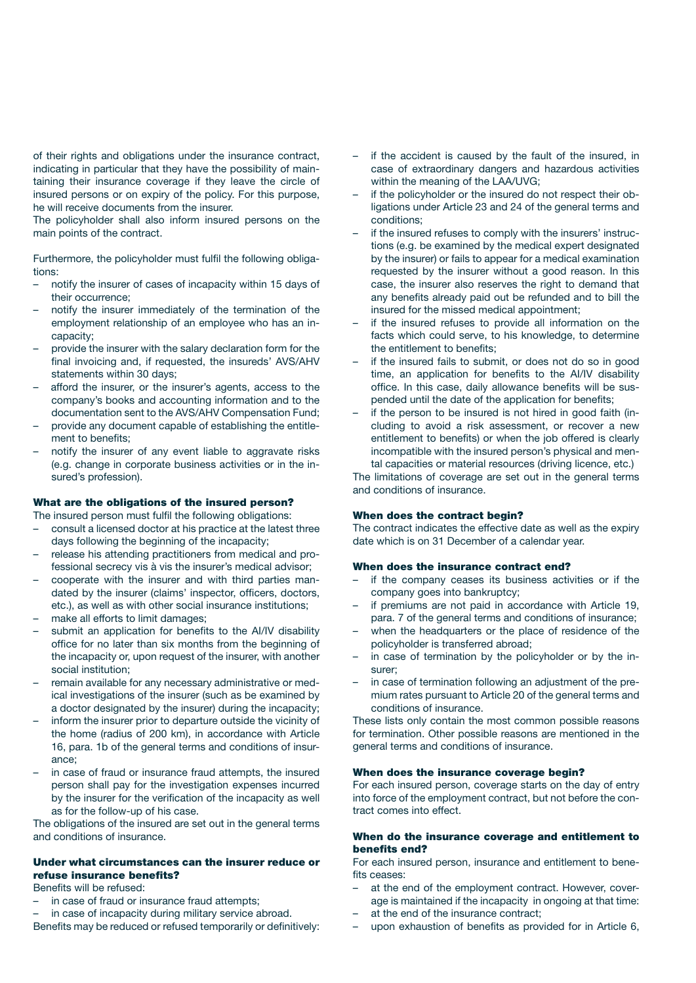of their rights and obligations under the insurance contract, indicating in particular that they have the possibility of maintaining their insurance coverage if they leave the circle of insured persons or on expiry of the policy. For this purpose, he will receive documents from the insurer.

The policyholder shall also inform insured persons on the main points of the contract.

Furthermore, the policyholder must fulfil the following obligations:

- notify the insurer of cases of incapacity within 15 days of their occurrence;
- notify the insurer immediately of the termination of the employment relationship of an employee who has an incapacity;
- provide the insurer with the salary declaration form for the final invoicing and, if requested, the insureds' AVS/AHV statements within 30 days;
- afford the insurer, or the insurer's agents, access to the company's books and accounting information and to the documentation sent to the AVS/AHV Compensation Fund;
- provide any document capable of establishing the entitlement to benefits;
- notify the insurer of any event liable to aggravate risks (e.g. change in corporate business activities or in the insured's profession).

#### What are the obligations of the insured person?

The insured person must fulfil the following obligations:

- consult a licensed doctor at his practice at the latest three days following the beginning of the incapacity;
- release his attending practitioners from medical and professional secrecy vis à vis the insurer's medical advisor;
- cooperate with the insurer and with third parties mandated by the insurer (claims' inspector, officers, doctors, etc.), as well as with other social insurance institutions;
- make all efforts to limit damages;
- submit an application for benefits to the AI/IV disability office for no later than six months from the beginning of the incapacity or, upon request of the insurer, with another social institution;
- remain available for any necessary administrative or medical investigations of the insurer (such as be examined by a doctor designated by the insurer) during the incapacity;
- inform the insurer prior to departure outside the vicinity of the home (radius of 200 km), in accordance with Article 16, para. 1b of the general terms and conditions of insurance;
- in case of fraud or insurance fraud attempts, the insured person shall pay for the investigation expenses incurred by the insurer for the verification of the incapacity as well as for the follow-up of his case.

The obligations of the insured are set out in the general terms and conditions of insurance.

#### Under what circumstances can the insurer reduce or refuse insurance benefits?

#### Benefits will be refused:

- in case of fraud or insurance fraud attempts;
- in case of incapacity during military service abroad.

Benefits may be reduced or refused temporarily or definitively:

- if the accident is caused by the fault of the insured, in case of extraordinary dangers and hazardous activities within the meaning of the LAA/UVG;
- if the policyholder or the insured do not respect their obligations under Article 23 and 24 of the general terms and conditions;
- if the insured refuses to comply with the insurers' instructions (e.g. be examined by the medical expert designated by the insurer) or fails to appear for a medical examination requested by the insurer without a good reason. In this case, the insurer also reserves the right to demand that any benefits already paid out be refunded and to bill the insured for the missed medical appointment;
- if the insured refuses to provide all information on the facts which could serve, to his knowledge, to determine the entitlement to benefits;
- if the insured fails to submit, or does not do so in good time, an application for benefits to the AI/IV disability office. In this case, daily allowance benefits will be suspended until the date of the application for benefits;
- if the person to be insured is not hired in good faith (including to avoid a risk assessment, or recover a new entitlement to benefits) or when the job offered is clearly incompatible with the insured person's physical and mental capacities or material resources (driving licence, etc.)

The limitations of coverage are set out in the general terms and conditions of insurance.

#### When does the contract begin?

The contract indicates the effective date as well as the expiry date which is on 31 December of a calendar year.

#### When does the insurance contract end?

- if the company ceases its business activities or if the company goes into bankruptcy;
- if premiums are not paid in accordance with Article 19, para. 7 of the general terms and conditions of insurance;
- when the headquarters or the place of residence of the policyholder is transferred abroad;
- in case of termination by the policyholder or by the insurer;
- in case of termination following an adjustment of the premium rates pursuant to Article 20 of the general terms and conditions of insurance.

These lists only contain the most common possible reasons for termination. Other possible reasons are mentioned in the general terms and conditions of insurance.

#### When does the insurance coverage begin?

For each insured person, coverage starts on the day of entry into force of the employment contract, but not before the contract comes into effect.

#### When do the insurance coverage and entitlement to benefits end?

For each insured person, insurance and entitlement to benefits ceases:

- at the end of the employment contract. However, coverage is maintained if the incapacity in ongoing at that time:
- at the end of the insurance contract;
- upon exhaustion of benefits as provided for in Article 6,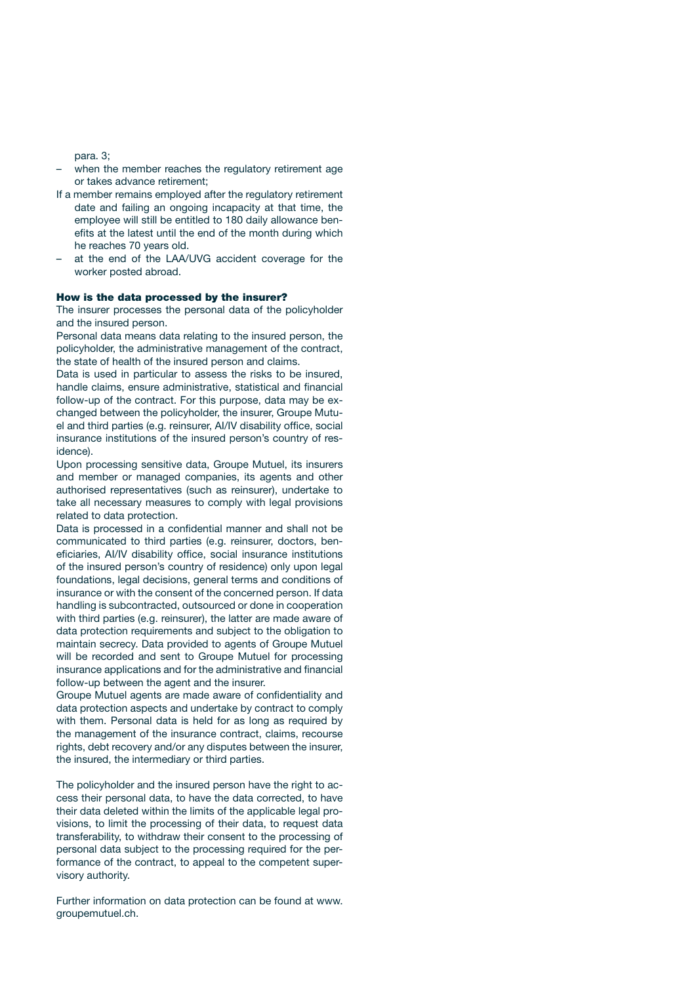para. 3;

- when the member reaches the regulatory retirement age or takes advance retirement;
- If a member remains employed after the regulatory retirement date and failing an ongoing incapacity at that time, the employee will still be entitled to 180 daily allowance benefits at the latest until the end of the month during which he reaches 70 years old.
- at the end of the LAA/UVG accident coverage for the worker posted abroad.

#### How is the data processed by the insurer?

The insurer processes the personal data of the policyholder and the insured person.

Personal data means data relating to the insured person, the policyholder, the administrative management of the contract, the state of health of the insured person and claims.

Data is used in particular to assess the risks to be insured, handle claims, ensure administrative, statistical and financial follow-up of the contract. For this purpose, data may be exchanged between the policyholder, the insurer, Groupe Mutuel and third parties (e.g. reinsurer, AI/IV disability office, social insurance institutions of the insured person's country of residence).

Upon processing sensitive data, Groupe Mutuel, its insurers and member or managed companies, its agents and other authorised representatives (such as reinsurer), undertake to take all necessary measures to comply with legal provisions related to data protection.

Data is processed in a confidential manner and shall not be communicated to third parties (e.g. reinsurer, doctors, beneficiaries, AI/IV disability office, social insurance institutions of the insured person's country of residence) only upon legal foundations, legal decisions, general terms and conditions of insurance or with the consent of the concerned person. If data handling is subcontracted, outsourced or done in cooperation with third parties (e.g. reinsurer), the latter are made aware of data protection requirements and subject to the obligation to maintain secrecy. Data provided to agents of Groupe Mutuel will be recorded and sent to Groupe Mutuel for processing insurance applications and for the administrative and financial follow-up between the agent and the insurer.

Groupe Mutuel agents are made aware of confidentiality and data protection aspects and undertake by contract to comply with them. Personal data is held for as long as required by the management of the insurance contract, claims, recourse rights, debt recovery and/or any disputes between the insurer, the insured, the intermediary or third parties.

The policyholder and the insured person have the right to access their personal data, to have the data corrected, to have their data deleted within the limits of the applicable legal provisions, to limit the processing of their data, to request data transferability, to withdraw their consent to the processing of personal data subject to the processing required for the performance of the contract, to appeal to the competent supervisory authority.

Further information on data protection can be found at www. groupemutuel.ch.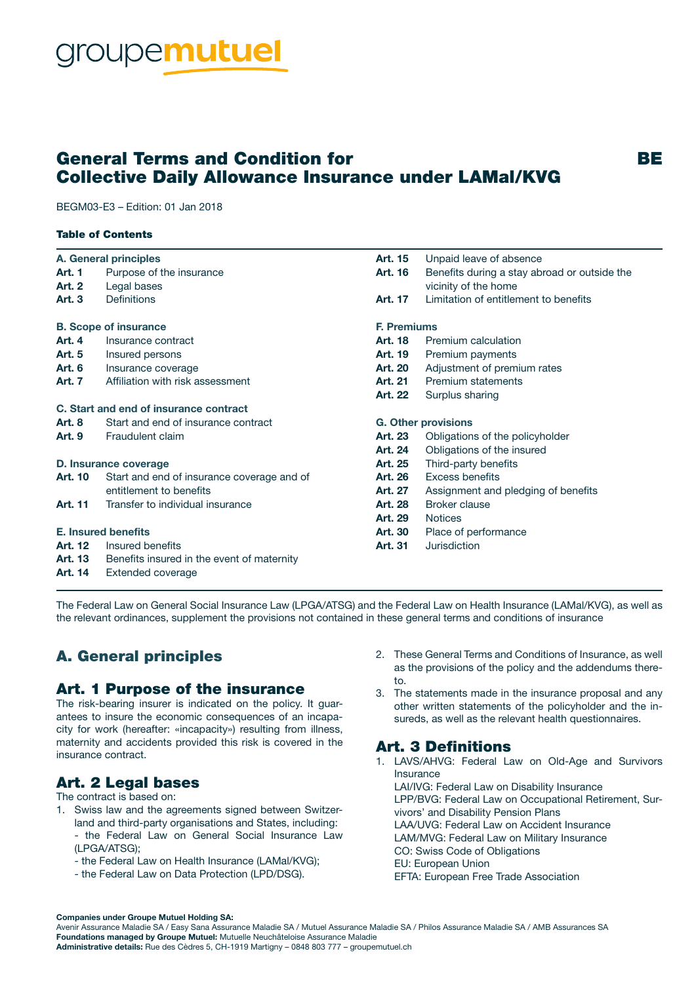# roupe**mutuel**

# General Terms and Condition for The Condition of Terms and BE Collective Daily Allowance Insurance under LAMal/KVG

BEGM03-E3 – Edition: 01 Jan 2018

#### Table of Contents

| A. General principles        |                                            | Art. 15                    | Unpaid leave of absence                      |
|------------------------------|--------------------------------------------|----------------------------|----------------------------------------------|
| <b>Art. 1</b>                | Purpose of the insurance                   | Art. 16                    | Benefits during a stay abroad or outside the |
| <b>Art. 2</b>                | Legal bases                                |                            | vicinity of the home                         |
| Art. 3                       | <b>Definitions</b>                         | <b>Art. 17</b>             | Limitation of entitlement to benefits        |
| <b>B. Scope of insurance</b> |                                            | <b>F. Premiums</b>         |                                              |
| <b>Art. 4</b>                | Insurance contract                         | <b>Art. 18</b>             | Premium calculation                          |
| Art. 5                       | Insured persons                            | Art. 19                    | Premium payments                             |
| <b>Art. 6</b>                | Insurance coverage                         | <b>Art. 20</b>             | Adjustment of premium rates                  |
| Art. 7                       | Affiliation with risk assessment           | Art. 21                    | <b>Premium statements</b>                    |
|                              |                                            | Art. 22                    | Surplus sharing                              |
|                              | C. Start and end of insurance contract     |                            |                                              |
| Art. 8                       | Start and end of insurance contract        | <b>G. Other provisions</b> |                                              |
| <b>Art. 9</b>                | Fraudulent claim                           | Art. 23                    | Obligations of the policyholder              |
|                              |                                            | Art. 24                    | Obligations of the insured                   |
| D. Insurance coverage        |                                            | Art. 25                    | Third-party benefits                         |
| Art. 10                      | Start and end of insurance coverage and of | Art. 26                    | <b>Excess benefits</b>                       |
|                              | entitlement to benefits                    | Art. 27                    | Assignment and pledging of benefits          |
| Art. 11                      | Transfer to individual insurance           | Art. 28                    | <b>Broker clause</b>                         |
|                              |                                            | Art. 29                    | <b>Notices</b>                               |
| <b>E. Insured benefits</b>   |                                            | <b>Art. 30</b>             | Place of performance                         |
| <b>Art. 12</b>               | Insured benefits                           | Art. 31                    | <b>Jurisdiction</b>                          |
| Art. 13                      | Benefits insured in the event of maternity |                            |                                              |

Art. 14 Extended coverage

The Federal Law on General Social Insurance Law (LPGA/ATSG) and the Federal Law on Health Insurance (LAMal/KVG), as well as the relevant ordinances, supplement the provisions not contained in these general terms and conditions of insurance

# A. General principles

## Art. 1 Purpose of the insurance

The risk-bearing insurer is indicated on the policy. It guarantees to insure the economic consequences of an incapacity for work (hereafter: «incapacity») resulting from illness, maternity and accidents provided this risk is covered in the insurance contract.

# Art. 2 Legal bases

The contract is based on:

- 1. Swiss law and the agreements signed between Switzerland and third-party organisations and States, including:
	- the Federal Law on General Social Insurance Law (LPGA/ATSG);
	- the Federal Law on Health Insurance (LAMal/KVG);
	- the Federal Law on Data Protection (LPD/DSG).
- 2. These General Terms and Conditions of Insurance, as well as the provisions of the policy and the addendums thereto.
- 3. The statements made in the insurance proposal and any other written statements of the policyholder and the insureds, as well as the relevant health questionnaires.

# Art. 3 Definitions

1. LAVS/AHVG: Federal Law on Old-Age and Survivors Insurance LAI/IVG: Federal Law on Disability Insurance LPP/BVG: Federal Law on Occupational Retirement, Survivors' and Disability Pension Plans LAA/UVG: Federal Law on Accident Insurance LAM/MVG: Federal Law on Military Insurance CO: Swiss Code of Obligations EU: European Union EFTA: European Free Trade Association

Companies under Groupe Mutuel Holding SA:

Administrative details: Rue des Cèdres 5, CH-1919 Martigny – 0848 803 777 – groupemutuel.ch

Avenir Assurance Maladie SA / Easy Sana Assurance Maladie SA / Mutuel Assurance Maladie SA / Philos Assurance Maladie SA / AMB Assurances SA Foundations managed by Groupe Mutuel: Mutuelle Neuchâteloise Assurance Maladie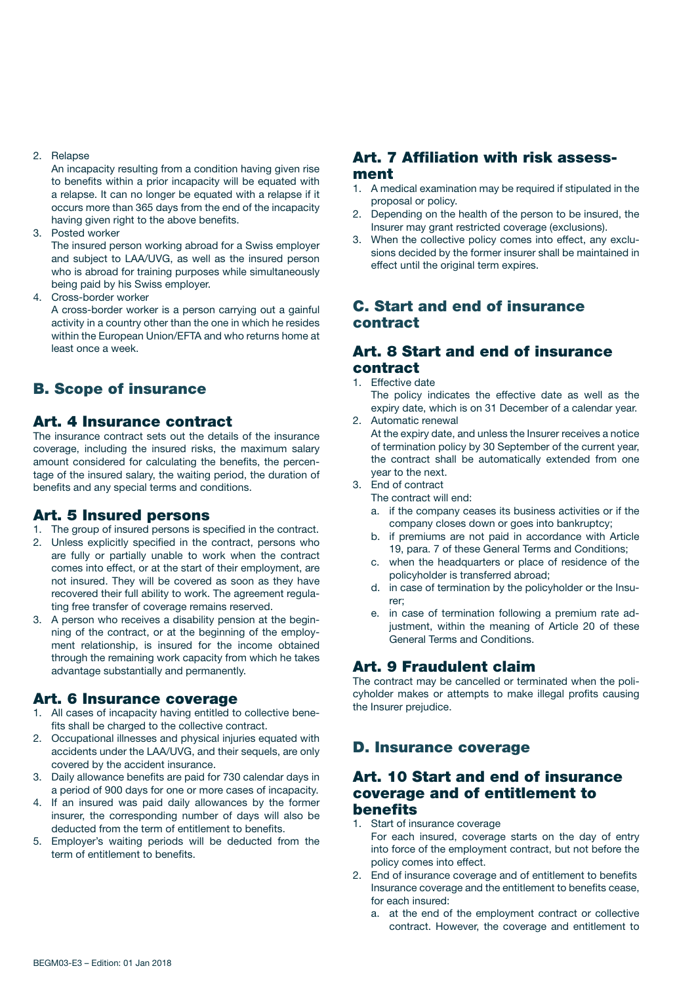#### 2. Relapse

An incapacity resulting from a condition having given rise to benefits within a prior incapacity will be equated with a relapse. It can no longer be equated with a relapse if it occurs more than 365 days from the end of the incapacity having given right to the above benefits.

3. Posted worker

The insured person working abroad for a Swiss employer and subject to LAA/UVG, as well as the insured person who is abroad for training purposes while simultaneously being paid by his Swiss employer.

4. Cross-border worker

A cross-border worker is a person carrying out a gainful activity in a country other than the one in which he resides within the European Union/EFTA and who returns home at least once a week.

# B. Scope of insurance

### Art. 4 Insurance contract

The insurance contract sets out the details of the insurance coverage, including the insured risks, the maximum salary amount considered for calculating the benefits, the percentage of the insured salary, the waiting period, the duration of benefits and any special terms and conditions.

### Art. 5 Insured persons

- 1. The group of insured persons is specified in the contract.
- 2. Unless explicitly specified in the contract, persons who are fully or partially unable to work when the contract comes into effect, or at the start of their employment, are not insured. They will be covered as soon as they have recovered their full ability to work. The agreement regulating free transfer of coverage remains reserved.
- 3. A person who receives a disability pension at the beginning of the contract, or at the beginning of the employment relationship, is insured for the income obtained through the remaining work capacity from which he takes advantage substantially and permanently.

#### Art. 6 Insurance coverage

- 1. All cases of incapacity having entitled to collective benefits shall be charged to the collective contract.
- 2. Occupational illnesses and physical injuries equated with accidents under the LAA/UVG, and their sequels, are only covered by the accident insurance.
- 3. Daily allowance benefits are paid for 730 calendar days in a period of 900 days for one or more cases of incapacity.
- 4. If an insured was paid daily allowances by the former insurer, the corresponding number of days will also be deducted from the term of entitlement to benefits.
- 5. Employer's waiting periods will be deducted from the term of entitlement to benefits.

## Art. 7 Affiliation with risk assessment

- 1. A medical examination may be required if stipulated in the proposal or policy.
- 2. Depending on the health of the person to be insured, the Insurer may grant restricted coverage (exclusions).
- 3. When the collective policy comes into effect, any exclusions decided by the former insurer shall be maintained in effect until the original term expires.

## C. Start and end of insurance contract

#### Art. 8 Start and end of insurance contract

- 1. Effective date
	- The policy indicates the effective date as well as the expiry date, which is on 31 December of a calendar year.
- 2. Automatic renewal At the expiry date, and unless the Insurer receives a notice of termination policy by 30 September of the current year, the contract shall be automatically extended from one year to the next.
- 3. End of contract

The contract will end:

- a. if the company ceases its business activities or if the company closes down or goes into bankruptcy;
- b. if premiums are not paid in accordance with Article 19, para. 7 of these General Terms and Conditions;
- c. when the headquarters or place of residence of the policyholder is transferred abroad;
- d. in case of termination by the policyholder or the Insurer;
- e. in case of termination following a premium rate adjustment, within the meaning of Article 20 of these General Terms and Conditions.

## Art. 9 Fraudulent claim

The contract may be cancelled or terminated when the policyholder makes or attempts to make illegal profits causing the Insurer prejudice.

## D. Insurance coverage

## Art. 10 Start and end of insurance coverage and of entitlement to benefits

- 1. Start of insurance coverage
	- For each insured, coverage starts on the day of entry into force of the employment contract, but not before the policy comes into effect.
- 2. End of insurance coverage and of entitlement to benefits Insurance coverage and the entitlement to benefits cease, for each insured:
	- a. at the end of the employment contract or collective contract. However, the coverage and entitlement to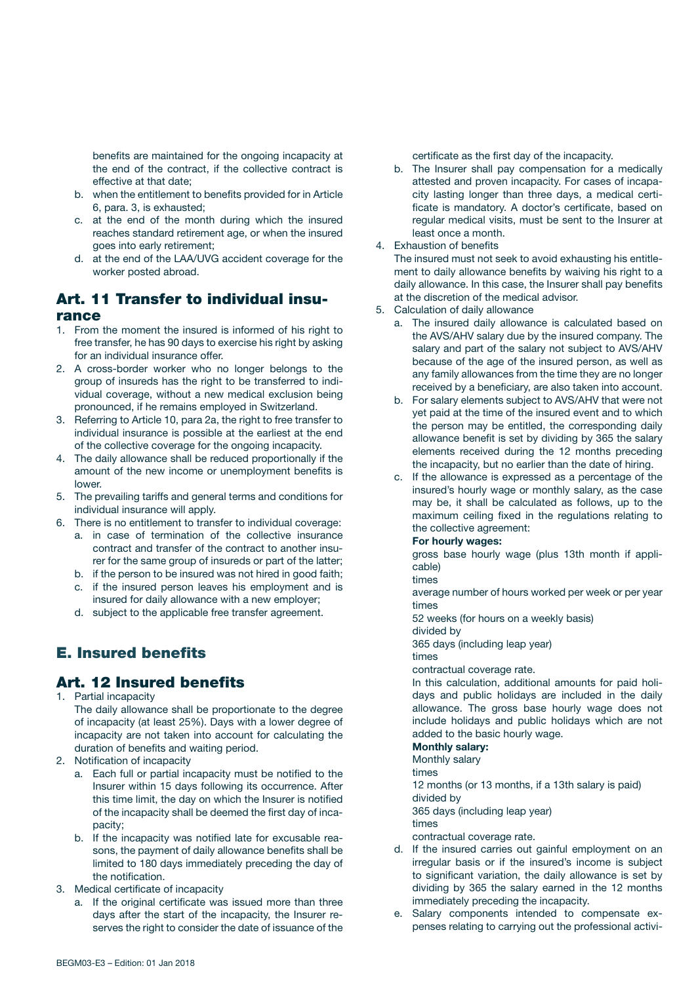benefits are maintained for the ongoing incapacity at the end of the contract, if the collective contract is effective at that date;

- b. when the entitlement to benefits provided for in Article 6, para. 3, is exhausted;
- c. at the end of the month during which the insured reaches standard retirement age, or when the insured goes into early retirement;
- d. at the end of the LAA/UVG accident coverage for the worker posted abroad.

## Art. 11 Transfer to individual insurance

- 1. From the moment the insured is informed of his right to free transfer, he has 90 days to exercise his right by asking for an individual insurance offer.
- 2. A cross-border worker who no longer belongs to the group of insureds has the right to be transferred to individual coverage, without a new medical exclusion being pronounced, if he remains employed in Switzerland.
- 3. Referring to Article 10, para 2a, the right to free transfer to individual insurance is possible at the earliest at the end of the collective coverage for the ongoing incapacity.
- 4. The daily allowance shall be reduced proportionally if the amount of the new income or unemployment benefits is lower.
- 5. The prevailing tariffs and general terms and conditions for individual insurance will apply.
- 6. There is no entitlement to transfer to individual coverage:
	- a. in case of termination of the collective insurance contract and transfer of the contract to another insurer for the same group of insureds or part of the latter;
	- b. if the person to be insured was not hired in good faith;
	- c. if the insured person leaves his employment and is insured for daily allowance with a new employer;
	- d. subject to the applicable free transfer agreement.

# E. Insured benefits

# Art. 12 Insured benefits

1. Partial incapacity

The daily allowance shall be proportionate to the degree of incapacity (at least 25%). Days with a lower degree of incapacity are not taken into account for calculating the duration of benefits and waiting period.

- 2. Notification of incapacity
	- a. Each full or partial incapacity must be notified to the Insurer within 15 days following its occurrence. After this time limit, the day on which the Insurer is notified of the incapacity shall be deemed the first day of incapacity;
	- b. If the incapacity was notified late for excusable reasons, the payment of daily allowance benefits shall be limited to 180 days immediately preceding the day of the notification.
- 3. Medical certificate of incapacity
	- a. If the original certificate was issued more than three days after the start of the incapacity, the Insurer reserves the right to consider the date of issuance of the

certificate as the first day of the incapacity.

- b. The Insurer shall pay compensation for a medically attested and proven incapacity. For cases of incapacity lasting longer than three days, a medical certificate is mandatory. A doctor's certificate, based on regular medical visits, must be sent to the Insurer at least once a month.
- 4. Exhaustion of benefits

The insured must not seek to avoid exhausting his entitlement to daily allowance benefits by waiving his right to a daily allowance. In this case, the Insurer shall pay benefits at the discretion of the medical advisor.

- 5. Calculation of daily allowance
	- a. The insured daily allowance is calculated based on the AVS/AHV salary due by the insured company. The salary and part of the salary not subject to AVS/AHV because of the age of the insured person, as well as any family allowances from the time they are no longer received by a beneficiary, are also taken into account.
	- b. For salary elements subject to AVS/AHV that were not yet paid at the time of the insured event and to which the person may be entitled, the corresponding daily allowance benefit is set by dividing by 365 the salary elements received during the 12 months preceding the incapacity, but no earlier than the date of hiring.
	- c. If the allowance is expressed as a percentage of the insured's hourly wage or monthly salary, as the case may be, it shall be calculated as follows, up to the maximum ceiling fixed in the regulations relating to the collective agreement:

#### For hourly wages:

 gross base hourly wage (plus 13th month if applicable)

#### times

 average number of hours worked per week or per year times

52 weeks (for hours on a weekly basis)

divided by

365 days (including leap year)

times

contractual coverage rate.

 In this calculation, additional amounts for paid holidays and public holidays are included in the daily allowance. The gross base hourly wage does not include holidays and public holidays which are not added to the basic hourly wage.

#### Monthly salary:

Monthly salary

times

12 months (or 13 months, if a 13th salary is paid)

divided by

365 days (including leap year)

times

- contractual coverage rate.
- d. If the insured carries out gainful employment on an irregular basis or if the insured's income is subject to significant variation, the daily allowance is set by dividing by 365 the salary earned in the 12 months immediately preceding the incapacity.
- e. Salary components intended to compensate expenses relating to carrying out the professional activi-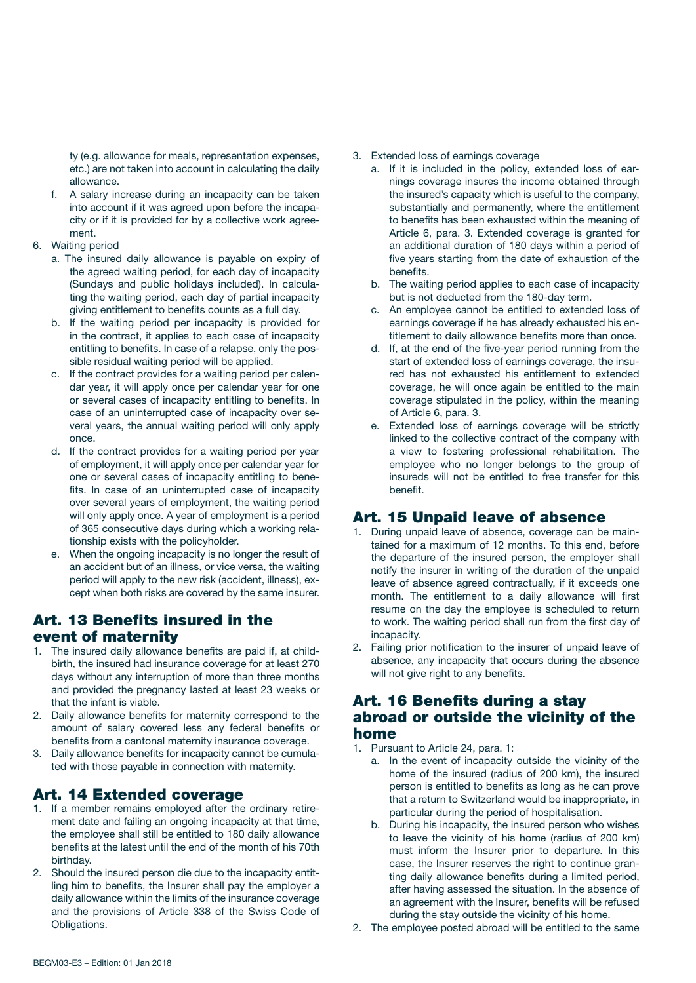ty (e.g. allowance for meals, representation expenses, etc.) are not taken into account in calculating the daily allowance.

- f. A salary increase during an incapacity can be taken into account if it was agreed upon before the incapacity or if it is provided for by a collective work agreement.
- 6. Waiting period
	- a. The insured daily allowance is payable on expiry of the agreed waiting period, for each day of incapacity (Sundays and public holidays included). In calculating the waiting period, each day of partial incapacity giving entitlement to benefits counts as a full day.
	- b. If the waiting period per incapacity is provided for in the contract, it applies to each case of incapacity entitling to benefits. In case of a relapse, only the possible residual waiting period will be applied.
	- c. If the contract provides for a waiting period per calendar year, it will apply once per calendar year for one or several cases of incapacity entitling to benefits. In case of an uninterrupted case of incapacity over several years, the annual waiting period will only apply once.
	- d. If the contract provides for a waiting period per year of employment, it will apply once per calendar year for one or several cases of incapacity entitling to benefits. In case of an uninterrupted case of incapacity over several years of employment, the waiting period will only apply once. A year of employment is a period of 365 consecutive days during which a working relationship exists with the policyholder.
	- e. When the ongoing incapacity is no longer the result of an accident but of an illness, or vice versa, the waiting period will apply to the new risk (accident, illness), except when both risks are covered by the same insurer.

### Art. 13 Benefits insured in the event of maternity

- 1. The insured daily allowance benefits are paid if, at childbirth, the insured had insurance coverage for at least 270 days without any interruption of more than three months and provided the pregnancy lasted at least 23 weeks or that the infant is viable.
- 2. Daily allowance benefits for maternity correspond to the amount of salary covered less any federal benefits or benefits from a cantonal maternity insurance coverage.
- 3. Daily allowance benefits for incapacity cannot be cumulated with those payable in connection with maternity.

# Art. 14 Extended coverage

- 1. If a member remains employed after the ordinary retirement date and failing an ongoing incapacity at that time, the employee shall still be entitled to 180 daily allowance benefits at the latest until the end of the month of his 70th birthday.
- 2. Should the insured person die due to the incapacity entitling him to benefits, the Insurer shall pay the employer a daily allowance within the limits of the insurance coverage and the provisions of Article 338 of the Swiss Code of Obligations.
- 3. Extended loss of earnings coverage
	- a. If it is included in the policy, extended loss of earnings coverage insures the income obtained through the insured's capacity which is useful to the company, substantially and permanently, where the entitlement to benefits has been exhausted within the meaning of Article 6, para. 3. Extended coverage is granted for an additional duration of 180 days within a period of five years starting from the date of exhaustion of the benefits.
	- b. The waiting period applies to each case of incapacity but is not deducted from the 180-day term.
	- c. An employee cannot be entitled to extended loss of earnings coverage if he has already exhausted his entitlement to daily allowance benefits more than once.
	- d. If, at the end of the five-year period running from the start of extended loss of earnings coverage, the insured has not exhausted his entitlement to extended coverage, he will once again be entitled to the main coverage stipulated in the policy, within the meaning of Article 6, para. 3.
	- e. Extended loss of earnings coverage will be strictly linked to the collective contract of the company with a view to fostering professional rehabilitation. The employee who no longer belongs to the group of insureds will not be entitled to free transfer for this benefit.

## Art. 15 Unpaid leave of absence

- 1. During unpaid leave of absence, coverage can be maintained for a maximum of 12 months. To this end, before the departure of the insured person, the employer shall notify the insurer in writing of the duration of the unpaid leave of absence agreed contractually, if it exceeds one month. The entitlement to a daily allowance will first resume on the day the employee is scheduled to return to work. The waiting period shall run from the first day of incapacity.
- 2. Failing prior notification to the insurer of unpaid leave of absence, any incapacity that occurs during the absence will not give right to any benefits.

### Art. 16 Benefits during a stay abroad or outside the vicinity of the home

- 1. Pursuant to Article 24, para. 1:
	- a. In the event of incapacity outside the vicinity of the home of the insured (radius of 200 km), the insured person is entitled to benefits as long as he can prove that a return to Switzerland would be inappropriate, in particular during the period of hospitalisation.
	- b. During his incapacity, the insured person who wishes to leave the vicinity of his home (radius of 200 km) must inform the Insurer prior to departure. In this case, the Insurer reserves the right to continue granting daily allowance benefits during a limited period, after having assessed the situation. In the absence of an agreement with the Insurer, benefits will be refused during the stay outside the vicinity of his home.
- 2. The employee posted abroad will be entitled to the same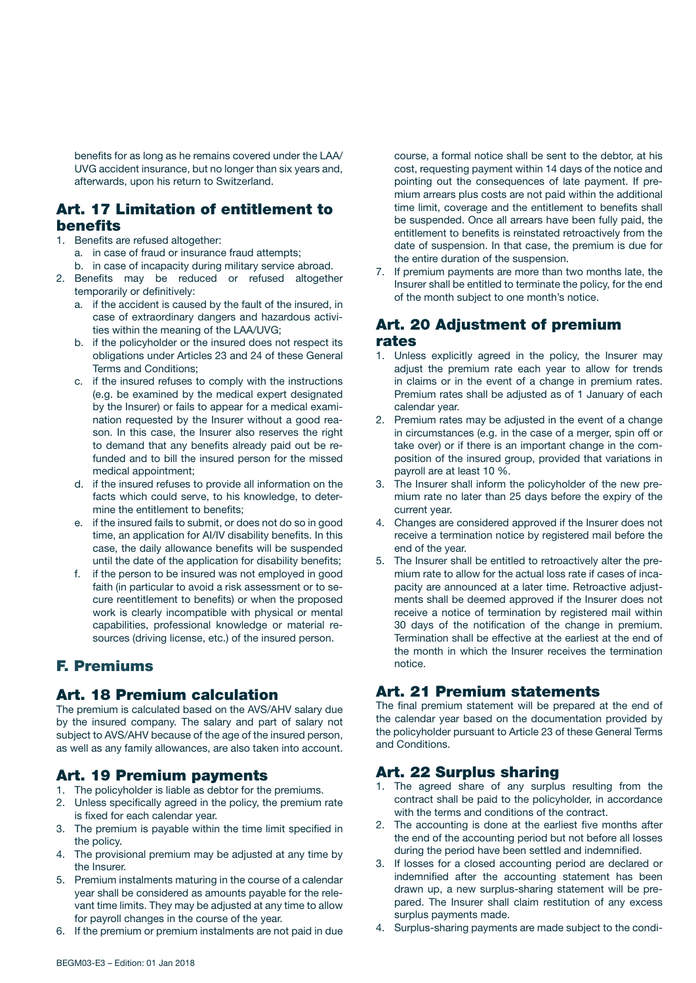benefits for as long as he remains covered under the LAA/ UVG accident insurance, but no longer than six years and, afterwards, upon his return to Switzerland.

### Art. 17 Limitation of entitlement to benefits

- 1. Benefits are refused altogether:
	- a. in case of fraud or insurance fraud attempts;
	- b. in case of incapacity during military service abroad.
- 2. Benefits may be reduced or refused altogether temporarily or definitively:
	- a. if the accident is caused by the fault of the insured, in case of extraordinary dangers and hazardous activities within the meaning of the LAA/UVG;
	- b. if the policyholder or the insured does not respect its obligations under Articles 23 and 24 of these General Terms and Conditions;
	- c. if the insured refuses to comply with the instructions (e.g. be examined by the medical expert designated by the Insurer) or fails to appear for a medical examination requested by the Insurer without a good reason. In this case, the Insurer also reserves the right to demand that any benefits already paid out be refunded and to bill the insured person for the missed medical appointment;
	- d. if the insured refuses to provide all information on the facts which could serve, to his knowledge, to determine the entitlement to benefits;
	- e. if the insured fails to submit, or does not do so in good time, an application for AI/IV disability benefits. In this case, the daily allowance benefits will be suspended until the date of the application for disability benefits;
	- f. if the person to be insured was not employed in good faith (in particular to avoid a risk assessment or to secure reentitlement to benefits) or when the proposed work is clearly incompatible with physical or mental capabilities, professional knowledge or material resources (driving license, etc.) of the insured person.

# F. Premiums

## Art. 18 Premium calculation

The premium is calculated based on the AVS/AHV salary due by the insured company. The salary and part of salary not subject to AVS/AHV because of the age of the insured person, as well as any family allowances, are also taken into account.

### Art. 19 Premium payments

- 1. The policyholder is liable as debtor for the premiums.
- 2. Unless specifically agreed in the policy, the premium rate is fixed for each calendar year.
- 3. The premium is payable within the time limit specified in the policy.
- 4. The provisional premium may be adjusted at any time by the Insurer.
- 5. Premium instalments maturing in the course of a calendar year shall be considered as amounts payable for the relevant time limits. They may be adjusted at any time to allow for payroll changes in the course of the year.
- 6. If the premium or premium instalments are not paid in due

course, a formal notice shall be sent to the debtor, at his cost, requesting payment within 14 days of the notice and pointing out the consequences of late payment. If premium arrears plus costs are not paid within the additional time limit, coverage and the entitlement to benefits shall be suspended. Once all arrears have been fully paid, the entitlement to benefits is reinstated retroactively from the date of suspension. In that case, the premium is due for the entire duration of the suspension.

7. If premium payments are more than two months late, the Insurer shall be entitled to terminate the policy, for the end of the month subject to one month's notice.

#### Art. 20 Adjustment of premium rates

- 1. Unless explicitly agreed in the policy, the Insurer may adjust the premium rate each year to allow for trends in claims or in the event of a change in premium rates. Premium rates shall be adjusted as of 1 January of each calendar year.
- 2. Premium rates may be adjusted in the event of a change in circumstances (e.g. in the case of a merger, spin off or take over) or if there is an important change in the composition of the insured group, provided that variations in payroll are at least 10 %.
- 3. The Insurer shall inform the policyholder of the new premium rate no later than 25 days before the expiry of the current year.
- 4. Changes are considered approved if the Insurer does not receive a termination notice by registered mail before the end of the year.
- 5. The Insurer shall be entitled to retroactively alter the premium rate to allow for the actual loss rate if cases of incapacity are announced at a later time. Retroactive adjustments shall be deemed approved if the Insurer does not receive a notice of termination by registered mail within 30 days of the notification of the change in premium. Termination shall be effective at the earliest at the end of the month in which the Insurer receives the termination notice.

## Art. 21 Premium statements

The final premium statement will be prepared at the end of the calendar year based on the documentation provided by the policyholder pursuant to Article 23 of these General Terms and Conditions.

## Art. 22 Surplus sharing

- 1. The agreed share of any surplus resulting from the contract shall be paid to the policyholder, in accordance with the terms and conditions of the contract.
- 2. The accounting is done at the earliest five months after the end of the accounting period but not before all losses during the period have been settled and indemnified.
- 3. If losses for a closed accounting period are declared or indemnified after the accounting statement has been drawn up, a new surplus-sharing statement will be prepared. The Insurer shall claim restitution of any excess surplus payments made.
- 4. Surplus-sharing payments are made subject to the condi-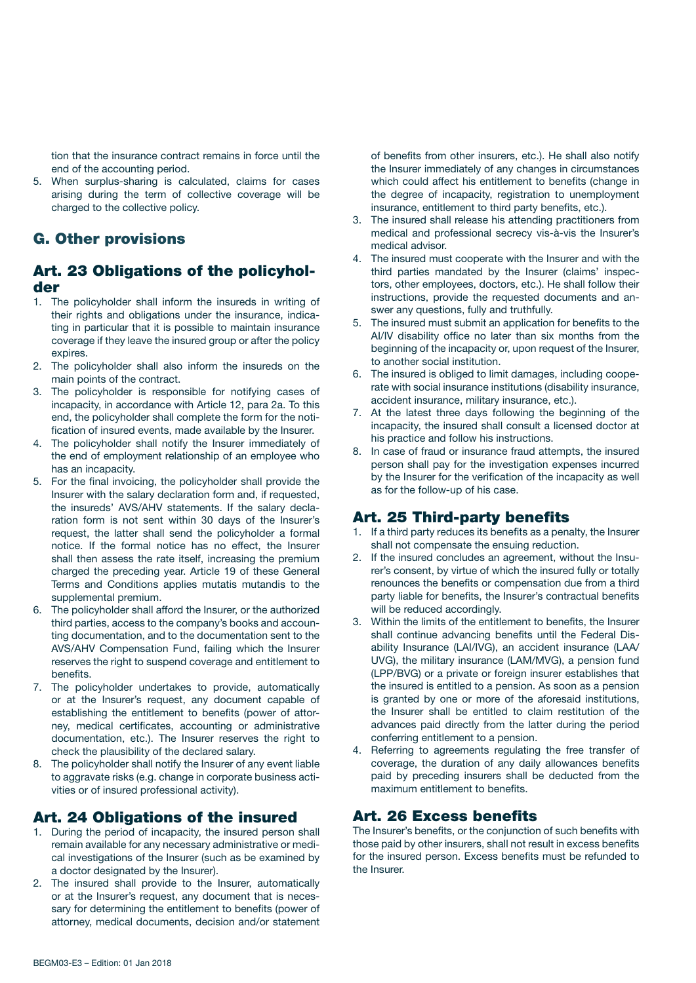tion that the insurance contract remains in force until the end of the accounting period.

5. When surplus-sharing is calculated, claims for cases arising during the term of collective coverage will be charged to the collective policy.

## G. Other provisions

## Art. 23 Obligations of the policyholder

- 1. The policyholder shall inform the insureds in writing of their rights and obligations under the insurance, indicating in particular that it is possible to maintain insurance coverage if they leave the insured group or after the policy expires.
- 2. The policyholder shall also inform the insureds on the main points of the contract.
- 3. The policyholder is responsible for notifying cases of incapacity, in accordance with Article 12, para 2a. To this end, the policyholder shall complete the form for the notification of insured events, made available by the Insurer.
- 4. The policyholder shall notify the Insurer immediately of the end of employment relationship of an employee who has an incapacity.
- 5. For the final invoicing, the policyholder shall provide the Insurer with the salary declaration form and, if requested, the insureds' AVS/AHV statements. If the salary declaration form is not sent within 30 days of the Insurer's request, the latter shall send the policyholder a formal notice. If the formal notice has no effect, the Insurer shall then assess the rate itself, increasing the premium charged the preceding year. Article 19 of these General Terms and Conditions applies mutatis mutandis to the supplemental premium.
- 6. The policyholder shall afford the Insurer, or the authorized third parties, access to the company's books and accounting documentation, and to the documentation sent to the AVS/AHV Compensation Fund, failing which the Insurer reserves the right to suspend coverage and entitlement to benefits.
- 7. The policyholder undertakes to provide, automatically or at the Insurer's request, any document capable of establishing the entitlement to benefits (power of attorney, medical certificates, accounting or administrative documentation, etc.). The Insurer reserves the right to check the plausibility of the declared salary.
- 8. The policyholder shall notify the Insurer of any event liable to aggravate risks (e.g. change in corporate business activities or of insured professional activity).

## Art. 24 Obligations of the insured

- 1. During the period of incapacity, the insured person shall remain available for any necessary administrative or medical investigations of the Insurer (such as be examined by a doctor designated by the Insurer).
- 2. The insured shall provide to the Insurer, automatically or at the Insurer's request, any document that is necessary for determining the entitlement to benefits (power of attorney, medical documents, decision and/or statement

of benefits from other insurers, etc.). He shall also notify the Insurer immediately of any changes in circumstances which could affect his entitlement to benefits (change in the degree of incapacity, registration to unemployment insurance, entitlement to third party benefits, etc.).

- 3. The insured shall release his attending practitioners from medical and professional secrecy vis-à-vis the Insurer's medical advisor.
- 4. The insured must cooperate with the Insurer and with the third parties mandated by the Insurer (claims' inspectors, other employees, doctors, etc.). He shall follow their instructions, provide the requested documents and answer any questions, fully and truthfully.
- 5. The insured must submit an application for benefits to the AI/IV disability office no later than six months from the beginning of the incapacity or, upon request of the Insurer, to another social institution.
- 6. The insured is obliged to limit damages, including cooperate with social insurance institutions (disability insurance, accident insurance, military insurance, etc.).
- 7. At the latest three days following the beginning of the incapacity, the insured shall consult a licensed doctor at his practice and follow his instructions.
- 8. In case of fraud or insurance fraud attempts, the insured person shall pay for the investigation expenses incurred by the Insurer for the verification of the incapacity as well as for the follow-up of his case.

## Art. 25 Third-party benefits

- 1. If a third party reduces its benefits as a penalty, the Insurer shall not compensate the ensuing reduction.
- 2. If the insured concludes an agreement, without the Insurer's consent, by virtue of which the insured fully or totally renounces the benefits or compensation due from a third party liable for benefits, the Insurer's contractual benefits will be reduced accordingly.
- 3. Within the limits of the entitlement to benefits, the Insurer shall continue advancing benefits until the Federal Disability Insurance (LAI/IVG), an accident insurance (LAA/ UVG), the military insurance (LAM/MVG), a pension fund (LPP/BVG) or a private or foreign insurer establishes that the insured is entitled to a pension. As soon as a pension is granted by one or more of the aforesaid institutions, the Insurer shall be entitled to claim restitution of the advances paid directly from the latter during the period conferring entitlement to a pension.
- 4. Referring to agreements regulating the free transfer of coverage, the duration of any daily allowances benefits paid by preceding insurers shall be deducted from the maximum entitlement to benefits.

# Art. 26 Excess benefits

The Insurer's benefits, or the conjunction of such benefits with those paid by other insurers, shall not result in excess benefits for the insured person. Excess benefits must be refunded to the Insurer.